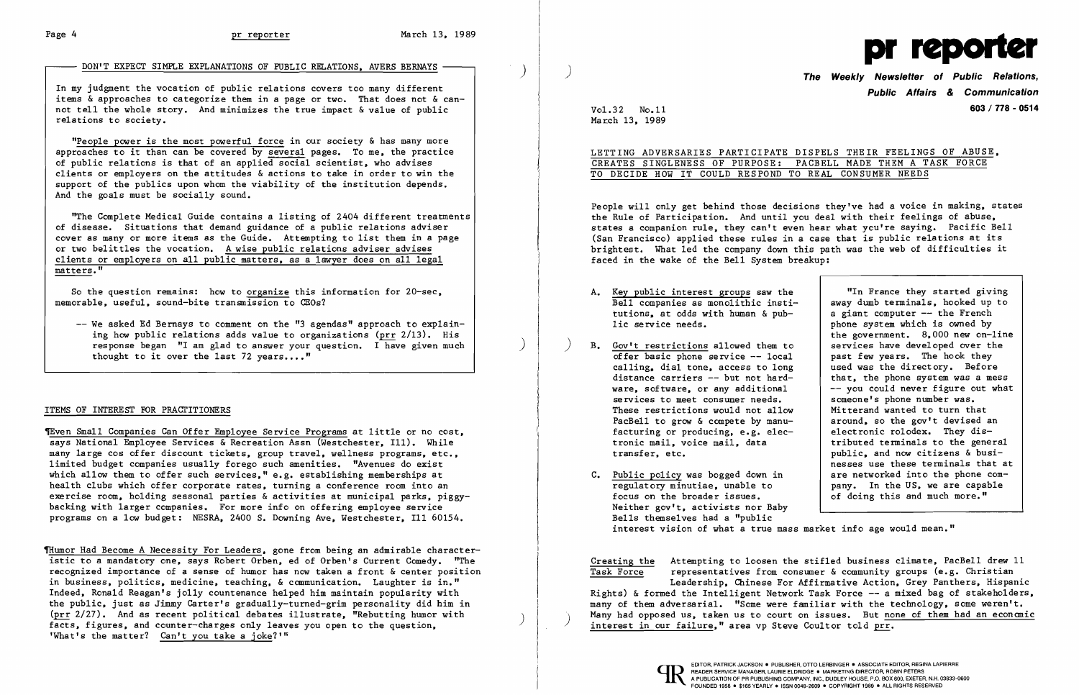## DON'T EXPECT SIMPLE EXPLANATIONS OF PUBLIC RELATIONS. AVERS BERNAYS -

In my judgment the vocation of public relations covers too many different items & approaches to categorize them in a page or two. That does not & cannot tell the whole story. And minimizes the true impact & value of public relations to society.

"People power is the most powerful force in our society & has many more approaches to it than can be covered by several pages. To me, the practice of public relations is that of an applied social scientist. who advises clients or employers on the attitudes & actions to take in order to win the support of the publics upon whom the viability of the institution depends. And the goals must be socially sound.

**"**The Complete Medical Guide contains a listing of 2404 different treatments $\big\vert$ of disease. Situations that demand guidance of a public relations adviser cover as many or more items as the Guide. Attempting to list them in a page or two belittles the vocation. A wise public relations adviser advises clients or employers on all public matters, as a lawyer does on all legal matters. "

So the question remains: how to organize this information for 20-sec. memorable, useful, sound-bite transmission to CEOs?

-- We asked Ed Bernays to comment on the "3 agendas" approach to explaining how public relations adds value to organizations (prr 2/13). His response began "I am glad to answer your question. I have given much thought to it over the last  $72$  years...."

### ITEMS OF INTEREST FOR PRAcrITIONERS

"In France they started giving away dumb terminals, hooked up to<br>a giant computer -- the French phone system which is owned by the government. 8,000 new on-line<br>services have developed over the -- you could never figure out what<br>someone's phone number was. Mitterand wanted to turn that<br>around, so the gov't devised an public. and now citizens & businesses use these terminals that at are networked into the phone company. In the US. we are capable of doing this and much more."

1Even Small Companies Can Offer Employee Service Programs at little or no cost. says National Employee Services & Recreation Assn (Westchester, I11). While many large cos offer discount tickets, group travel, wellness programs, etc., limited budget companies usually forego such amenities. "Avenues do exist which allow them to offer such services." e.g. establishing memberships at health clubs which offer corporate rates, turning a conference room into an exercise room, holding seasonal parties & activities at municipal parks, piggybacking with larger companies. For more info on offering employee service programs on a low budget: NESRA. 2400 S. Downing Ave. Westchester. III 60154.

Thumor Had Become A Necessity For Leaders, gone from being an admirable characteristic to a mandatory one. says Robert Orben, ed of Orben's Current Comedy. "The recognized importance of a sense of humor has now taken a front & center position in business, politics, medicine, teaching, & communication. Laughter is in." Indeed. Ronald Reagan's jolly countenance helped him maintain popularity with the public. just as Jimmy Carter's gradually-turned-grim personality did him in ( $\frac{\text{prr}}{\text{2}}$  2/27). And as recent political debates illustrate, "Rebutting humor with facts, figures, and counter-charges only leaves you open to the question. 'What's the matter? Can't you take a joke?'"

March 13. 1989



) **The Weekly Newsletter of Public Relations, Public Affairs** *&* **Communication**  Vol. 3 2 No. 11 **603/778 - 0514** 

LETTING ADVERSARIES PARTICIPATE DISPELS THEIR FEELINGS OF ABUSE.

# CREATES SINGLENESS OF PURPOSE: PACBELL MADE THEM A TASK FORCE TO DECIDE HOW IT COULD RESPOND TO REAL CONSUMER NEEDS

People will only get behind those decisions they've had a voice in making. states the Rule of Participation. And until you deal with their feelings of abuse. states a companion rule. they can't even hear what ycu're saying. Pacific Bell (San Francisco) applied these rules in a case that is public relations at its brightest. What led the company down this path was the web of difficulties it faced in the wake of the Bell System breakup:

- Bell companies as monolithic insti-A. Key public interest groups saw the tutions, at odds with human & pub-<br>lic service needs.
- B. Gov't restrictions allowed them to services have developed over the offer basic phone service -- local past few vears. The hook they offer basic phone service -- local past few years. The hook they<br>calling, dial tone, access to long used was the directory. Before calling, dial tone, access to long<br>distance carriers -- but not harddistance carriers  $--$  but not hard-<br>ware, software, or any additional  $--$  you could never figure out what services to meet consumer needs.<br>These restrictions would not allow PacBell to grow & compete by manu-<br>  $\begin{array}{|l|l|}\n\hline\n\text{factoring or producing, e.g. electronic rodex.} \end{array}$  They disfacturing or producing, e.g. elec-<br>tronic mail, voice mail, data tronic mail, voice mail, data finituted terminals to the general<br>transfer. etc.<br>public. and now citizens & busi-
- regulatory minutiae, unable to<br>focus on the broader issues. C. Public policy was bogged down in Neither gov't. activists nor Baby Bells themselves had a "public interest vision of what a true mass market info age would mean."

Creating the Attempting to loosen the stifled business climate, PacBell drew 11  $\overline{T}$  representatives from consumer & community groups (e.g. Christian representatives from consumer & community groups (e.g. Christian Leadership. Chinese For Affirmative Action. Grey Panthers. Hispanic Rights) & formed the Intelligent Network Task Force -- a mixed bag of stakeholders, many of them adversarial. "Some were familiar with the technology. some weren't. Many had opposed us, taken us to court on issues. But none of them had an economic interest in our failure," area vp Steve Coultor told prr.